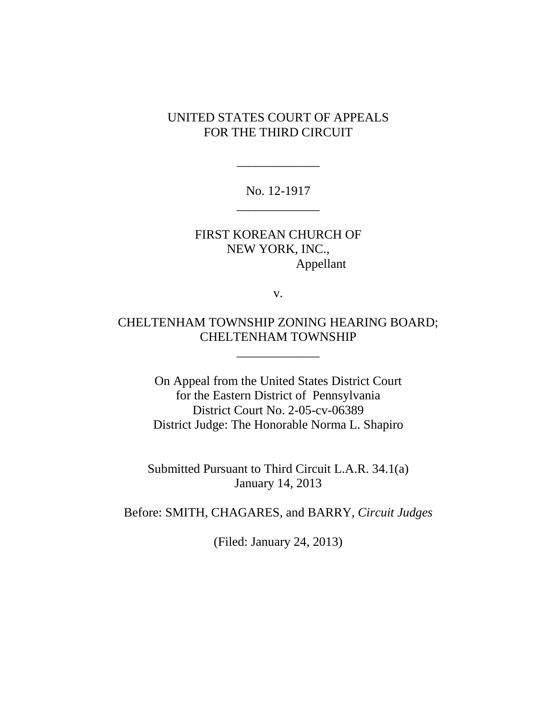## UNITED STATES COURT OF APPEALS FOR THE THIRD CIRCUIT

No. 12-1917 \_\_\_\_\_\_\_\_\_\_\_\_\_

\_\_\_\_\_\_\_\_\_\_\_\_\_

FIRST KOREAN CHURCH OF NEW YORK, INC., Appellant

v.

CHELTENHAM TOWNSHIP ZONING HEARING BOARD; CHELTENHAM TOWNSHIP

\_\_\_\_\_\_\_\_\_\_\_\_\_

On Appeal from the United States District Court for the Eastern District of Pennsylvania District Court No. 2-05-cv-06389 District Judge: The Honorable Norma L. Shapiro

Submitted Pursuant to Third Circuit L.A.R. 34.1(a) January 14, 2013

Before: SMITH, CHAGARES, and BARRY, *Circuit Judges*

(Filed: January 24, 2013)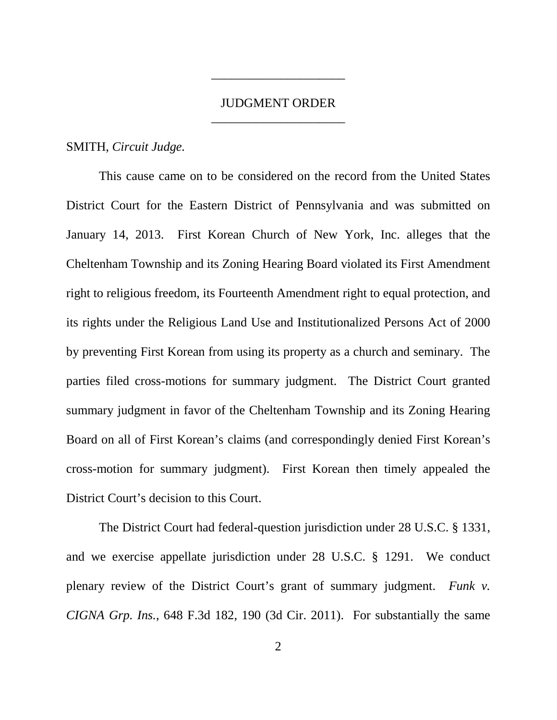## JUDGMENT ORDER \_\_\_\_\_\_\_\_\_\_\_\_\_\_\_\_\_\_\_\_\_

\_\_\_\_\_\_\_\_\_\_\_\_\_\_\_\_\_\_\_\_\_

## SMITH, *Circuit Judge.*

This cause came on to be considered on the record from the United States District Court for the Eastern District of Pennsylvania and was submitted on January 14, 2013. First Korean Church of New York, Inc. alleges that the Cheltenham Township and its Zoning Hearing Board violated its First Amendment right to religious freedom, its Fourteenth Amendment right to equal protection, and its rights under the Religious Land Use and Institutionalized Persons Act of 2000 by preventing First Korean from using its property as a church and seminary. The parties filed cross-motions for summary judgment. The District Court granted summary judgment in favor of the Cheltenham Township and its Zoning Hearing Board on all of First Korean's claims (and correspondingly denied First Korean's cross-motion for summary judgment). First Korean then timely appealed the District Court's decision to this Court.

The District Court had federal-question jurisdiction under 28 U.S.C. § 1331, and we exercise appellate jurisdiction under 28 U.S.C. § 1291. We conduct plenary review of the District Court's grant of summary judgment. *Funk v. CIGNA Grp. Ins.*, 648 F.3d 182, 190 (3d Cir. 2011). For substantially the same